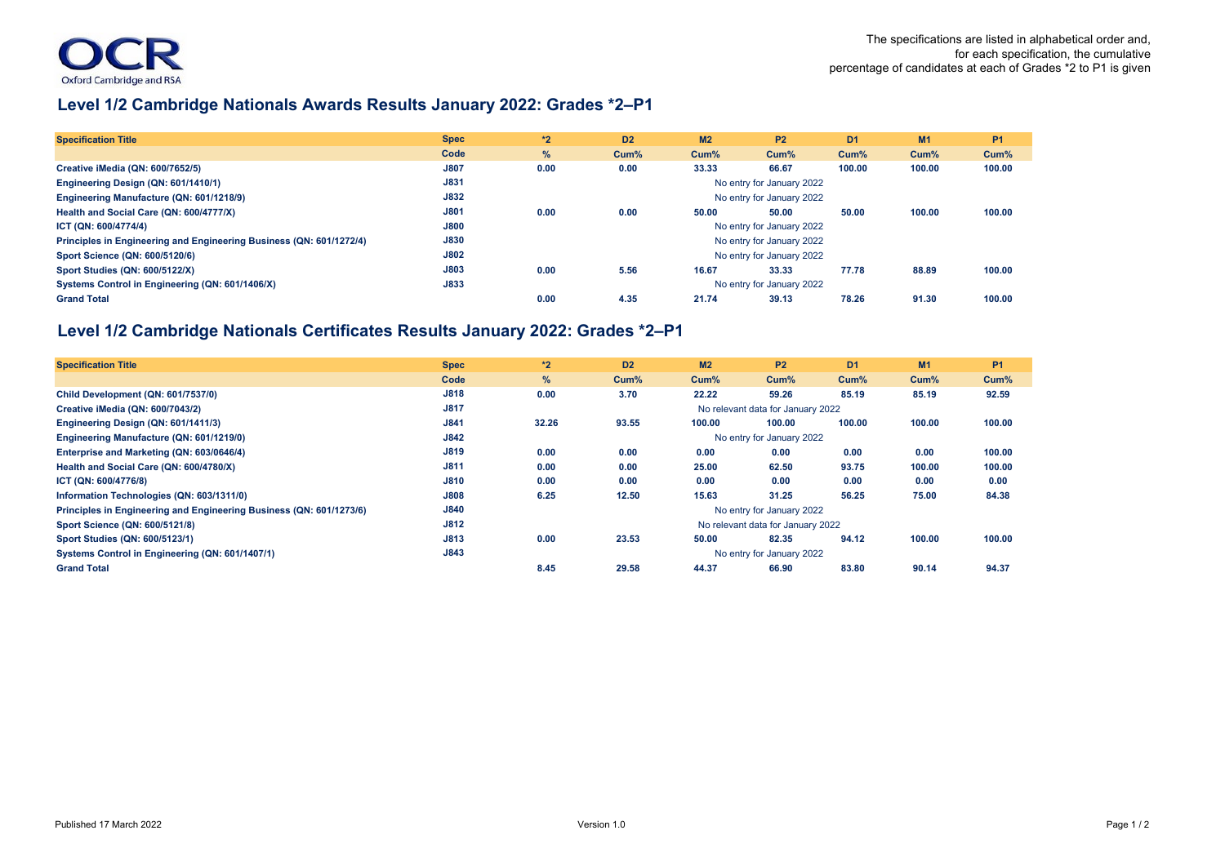## **Level 1/2 Cambridge Nationals Awards Results January 2022: Grades \*2–P1**

| <b>Specification Title</b>                                          | <b>Spec</b> | $*2$                      | D <sub>2</sub> | M <sub>2</sub> | <b>P2</b> | D <sub>1</sub> | M <sub>1</sub> | <b>P1</b> |  |  |  |  |
|---------------------------------------------------------------------|-------------|---------------------------|----------------|----------------|-----------|----------------|----------------|-----------|--|--|--|--|
|                                                                     | Code        | $\%$                      | Cum%           | $Cum\%$        | Cum%      | Cum%           | $Cum\%$        | Cum%      |  |  |  |  |
| Creative iMedia (QN: 600/7652/5)                                    | <b>J807</b> | 0.00                      | 0.00           | 33.33          | 66.67     | 100.00         | 100.00         | 100.00    |  |  |  |  |
| Engineering Design (QN: 601/1410/1)                                 | J831        | No entry for January 2022 |                |                |           |                |                |           |  |  |  |  |
| Engineering Manufacture (QN: 601/1218/9)                            | J832        | No entry for January 2022 |                |                |           |                |                |           |  |  |  |  |
| Health and Social Care (QN: 600/4777/X)                             | J801        | 0.00                      | 0.00           | 50.00          | 50.00     | 50.00          | 100.00         | 100.00    |  |  |  |  |
| ICT (QN: 600/4774/4)                                                | <b>J800</b> | No entry for January 2022 |                |                |           |                |                |           |  |  |  |  |
| Principles in Engineering and Engineering Business (QN: 601/1272/4) | <b>J830</b> | No entry for January 2022 |                |                |           |                |                |           |  |  |  |  |
| Sport Science (QN: 600/5120/6)                                      | <b>J802</b> | No entry for January 2022 |                |                |           |                |                |           |  |  |  |  |
| <b>Sport Studies (QN: 600/5122/X)</b>                               | J803        | 0.00                      | 5.56           | 16.67          | 33.33     | 77.78          | 88.89          | 100.00    |  |  |  |  |
| Systems Control in Engineering (QN: 601/1406/X)                     | J833        | No entry for January 2022 |                |                |           |                |                |           |  |  |  |  |
| <b>Grand Total</b>                                                  |             | 0.00                      | 4.35           | 21.74          | 39.13     | 78.26          | 91.30          | 100.00    |  |  |  |  |

## **Level 1/2 Cambridge Nationals Certificates Results January 2022: Grades \*2–P1**

| <b>Specification Title</b>                                          | <b>Spec</b> | $*2$                              | D <sub>2</sub>                    | M <sub>2</sub> | <b>P2</b> | D <sub>1</sub> | M1     | <b>P1</b> |  |  |  |  |  |
|---------------------------------------------------------------------|-------------|-----------------------------------|-----------------------------------|----------------|-----------|----------------|--------|-----------|--|--|--|--|--|
|                                                                     | Code        | $\%$                              | Cum%                              | Cum%           | $Cum$ %   | Cum%           | Cum%   | Cum%      |  |  |  |  |  |
| Child Development (QN: 601/7537/0)                                  | J818        | 0.00                              | 3.70                              | 22.22          | 59.26     | 85.19          | 85.19  | 92.59     |  |  |  |  |  |
| Creative iMedia (QN: 600/7043/2)                                    | <b>J817</b> |                                   | No relevant data for January 2022 |                |           |                |        |           |  |  |  |  |  |
| Engineering Design (QN: 601/1411/3)                                 | J841        | 32.26                             | 93.55                             | 100.00         | 100.00    | 100.00         | 100.00 | 100.00    |  |  |  |  |  |
| Engineering Manufacture (QN: 601/1219/0)                            | J842        |                                   | No entry for January 2022         |                |           |                |        |           |  |  |  |  |  |
| Enterprise and Marketing (QN: 603/0646/4)                           | J819        | 0.00                              | 0.00                              | 0.00           | 0.00      | 0.00           | 0.00   | 100.00    |  |  |  |  |  |
| Health and Social Care (QN: 600/4780/X)                             | J811        | 0.00                              | 0.00                              | 25.00          | 62.50     | 93.75          | 100.00 | 100.00    |  |  |  |  |  |
| ICT (QN: 600/4776/8)                                                | <b>J810</b> | 0.00                              | 0.00                              | 0.00           | 0.00      | 0.00           | 0.00   | 0.00      |  |  |  |  |  |
| Information Technologies (QN: 603/1311/0)                           | <b>J808</b> | 6.25                              | 12.50                             | 15.63          | 31.25     | 56.25          | 75.00  | 84.38     |  |  |  |  |  |
| Principles in Engineering and Engineering Business (QN: 601/1273/6) | J840        |                                   | No entry for January 2022         |                |           |                |        |           |  |  |  |  |  |
| <b>Sport Science (QN: 600/5121/8)</b>                               | J812        | No relevant data for January 2022 |                                   |                |           |                |        |           |  |  |  |  |  |
| Sport Studies (QN: 600/5123/1)                                      | J813        | 0.00                              | 23.53                             | 50.00          | 82.35     | 94.12          | 100.00 | 100.00    |  |  |  |  |  |
| Systems Control in Engineering (QN: 601/1407/1)                     | J843        |                                   | No entry for January 2022         |                |           |                |        |           |  |  |  |  |  |
| <b>Grand Total</b>                                                  |             | 8.45                              | 29.58                             | 44.37          | 66.90     | 83.80          | 90.14  | 94.37     |  |  |  |  |  |